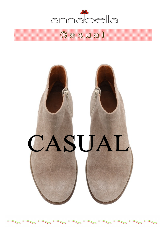

# $\mathbb G$  a s u a l

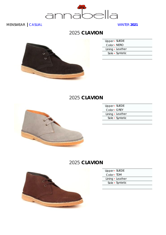

# 2025 **CLAVION**



| Upper - SUEDE    |  |
|------------------|--|
| Color • NERO     |  |
| Lining · Leather |  |
| Sole · Syntetic  |  |
|                  |  |

# 2025 **CLAVION**



| Upper - SUEDE    |  |
|------------------|--|
| Color • GREY     |  |
| Lining • Leather |  |
| Sole • Syntetic  |  |
|                  |  |

# 2025 **CLAVION**



| Upper · SUEDE    |  |
|------------------|--|
| Color • TDM      |  |
| Lining · Leather |  |
| Sole · Syntetic  |  |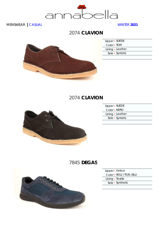

# 2074 **CLAVION**



| Upper · SUEDE    |  |
|------------------|--|
| Color - TDM      |  |
| Lining · Leather |  |
| Sole • Syntetic  |  |
|                  |  |

## 2074 **CLAVION**



| Upper - SUEDE    |  |
|------------------|--|
| Color • NERO     |  |
| Lining • Leather |  |
| Sole • Syntetic  |  |
|                  |  |

# 7845 **DEGAS**



| Upper • Velour |  |
|----------------|--|
|----------------|--|

Color ▪ 9012 /T535 /BLU

Lining • Textile

Sole ▪ Synthetic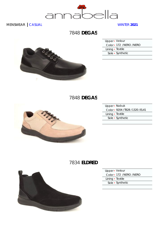

# 7848 **DEGAS**



| Upper • Velour          |  |
|-------------------------|--|
| Color - 172 /NERO /NERO |  |
| Lining · Textile        |  |
| Sole • Synthetic        |  |
|                         |  |

# 7848 **DEGAS**



| Upper - Nabuk                     |  |
|-----------------------------------|--|
| Color - 9204 / 1828 / 1320 / EL41 |  |
| Lining • Textile                  |  |
| Sole • Synthetic                  |  |
|                                   |  |

# 7834 **ELDRED**



| Upper · Velour            |  |
|---------------------------|--|
| Color - 172 / NERO / NERO |  |
| Lining · Textile          |  |
| Sole • Synthetic          |  |
|                           |  |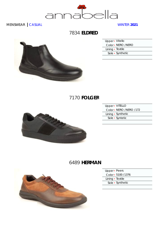

7834 **ELDRED**



| Upper - Vitello  |                    |
|------------------|--------------------|
|                  | Color - NERO /NERO |
| Lining • Textile |                    |
|                  | Sole • Synthetic   |
|                  |                    |

# 7170 **FOLGER**



| Upper - VITELLO         |  |
|-------------------------|--|
| Color - NERO /NERO /172 |  |
| Lining • Synthetic      |  |
| Sole • Syntetic         |  |
|                         |  |

## 6489 **HERMAN**



- Upper · Peers
- Color 5100 /1376
- Lining Textile
- Sole Synthetic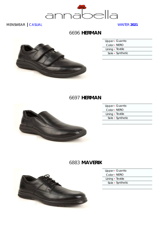

## 6696 **HERMAN**



| Upper · Guanto   |  |
|------------------|--|
| Color • NERO     |  |
| Lining · Textile |  |
| Sole • Synthetic |  |
|                  |  |

#### 6697 **HERMAN**



| Upper · Guanto   |                  |
|------------------|------------------|
| Color • NERO     |                  |
| Lining • Textile |                  |
|                  | Sole • Synthetic |
|                  |                  |

## 6883 **MAVERIK**



| Upper · Guanto   |  |
|------------------|--|
| Color • NERO     |  |
| Lining · Textile |  |
| Sole · Synthetic |  |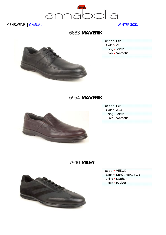

## **MAVERIK** 6883



| Upper - Jan      |  |
|------------------|--|
| Color • 2410     |  |
| Lining · Textile |  |
| Sole • Synthetic |  |
|                  |  |

#### **MAVERIK** 6954



| Upper · Jan      |  |
|------------------|--|
| Color - 2411     |  |
| Lining · Textile |  |
| Sole • Synthetic |  |
|                  |  |

# 7940 **MILEY**



| Upper · VITELLO         |
|-------------------------|
| Color - NERO /NERO /172 |
| Lining · Leather        |
| Sole • Rubber           |
|                         |